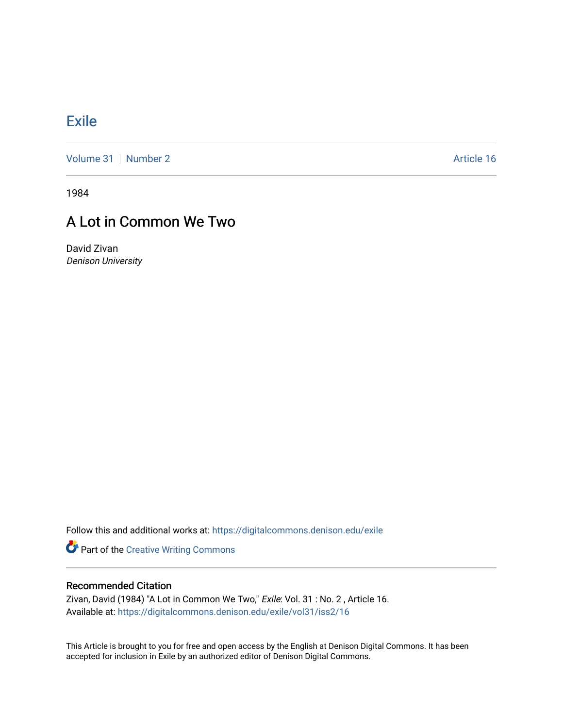## **[Exile](https://digitalcommons.denison.edu/exile)**

[Volume 31](https://digitalcommons.denison.edu/exile/vol31) [Number 2](https://digitalcommons.denison.edu/exile/vol31/iss2) Article 16

1984

## A Lot in Common We Two

David Zivan Denison University

Follow this and additional works at: [https://digitalcommons.denison.edu/exile](https://digitalcommons.denison.edu/exile?utm_source=digitalcommons.denison.edu%2Fexile%2Fvol31%2Fiss2%2F16&utm_medium=PDF&utm_campaign=PDFCoverPages) 

Part of the [Creative Writing Commons](http://network.bepress.com/hgg/discipline/574?utm_source=digitalcommons.denison.edu%2Fexile%2Fvol31%2Fiss2%2F16&utm_medium=PDF&utm_campaign=PDFCoverPages) 

## Recommended Citation

Zivan, David (1984) "A Lot in Common We Two," Exile: Vol. 31 : No. 2 , Article 16. Available at: [https://digitalcommons.denison.edu/exile/vol31/iss2/16](https://digitalcommons.denison.edu/exile/vol31/iss2/16?utm_source=digitalcommons.denison.edu%2Fexile%2Fvol31%2Fiss2%2F16&utm_medium=PDF&utm_campaign=PDFCoverPages)

This Article is brought to you for free and open access by the English at Denison Digital Commons. It has been accepted for inclusion in Exile by an authorized editor of Denison Digital Commons.